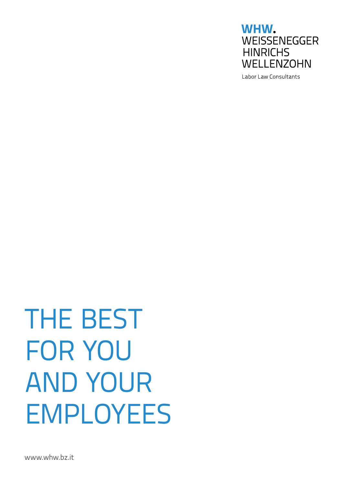

Labor Law Consultants

# **THE BEST** for you and your **EMPLOYEES**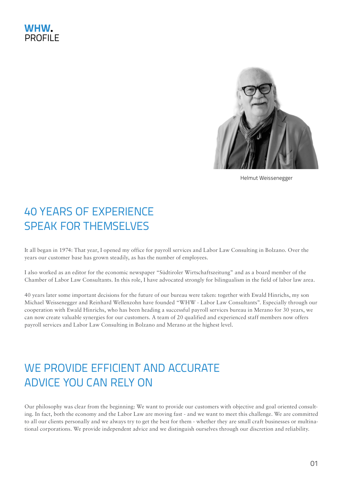### WHW. **PROFILE**



Helmut Weissenegger

## 40 YEARS OF EXPERIENCE SPEAK FOR THEMSELVES

It all began in 1974: That year, I opened my office for payroll services and Labor Law Consulting in Bolzano. Over the years our customer base has grown steadily, as has the number of employees.

I also worked as an editor for the economic newspaper "Südtiroler Wirtschaftszeitung" and as a board member of the Chamber of Labor Law Consultants. In this role, I have advocated strongly for bilingualism in the field of labor law area.

40 years later some important decisions for the future of our bureau were taken: together with Ewald Hinrichs, my son Michael Weissenegger and Reinhard Wellenzohn have founded "WHW - Labor Law Consultants". Especially through our cooperation with Ewald Hinrichs, who has been heading a successful payroll services bureau in Merano for 30 years, we can now create valuable synergies for our customers. A team of 20 qualified and experienced staff members now offers payroll services and Labor Law Consulting in Bolzano and Merano at the highest level.

## WE PROVIDE EFFICIENT AND ACCURATE ADVICE YOU CAN RELY ON

Our philosophy was clear from the beginning: We want to provide our customers with objective and goal oriented consulting. In fact, both the economy and the Labor Law are moving fast - and we want to meet this challenge. We are committed to all our clients personally and we always try to get the best for them - whether they are small craft businesses or multinational corporations. We provide independent advice and we distinguish ourselves through our discretion and reliability.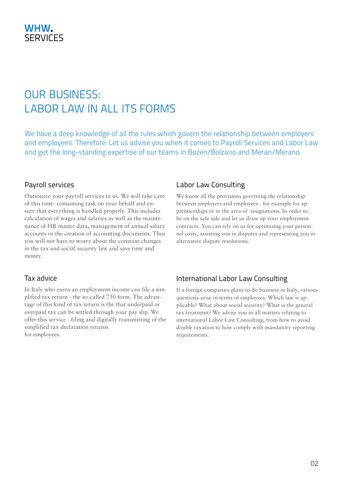## OUR BUSINESS: LABOR LAW IN ALL ITS FORMS

We have a deep knowledge of all the rules which govern the relationship between employers and employees. Therefore: Let us advise you when it comes to Payroll Services and Labor Law and get the long-standing expertise of our teams in Bozen/Bolzano and Meran/Merano.

#### Payroll services

Outsource your payroll services to us. We will take care of this time- consuming task on your behalf and ensure that everything is handled properly. This includes calculation of wages and salaries as well as the maintenance of HR master data, management of annual salary accounts or the creation of accounting documents. Thus you will not have to worry about the constant changes in the tax and social security law and save time and money.

#### Tax advice

In Italy who earns an employment income can file a simplified tax return - the so-called 730 form. The advantage of this kind of tax return is the that underpaid or overpaid tax can be settled through your pay slip. We offer this service - filing and digitally transmitting of the simplified tax declaration returns for employees.

#### Labor Law Consulting

We know all the provisions governing the relationship between employers and employees - for example for apprenticeships or in the area of resignations. In order to be on the safe side and let us draw up your employment contracts. You can rely on us for optimising your personnel costs, assisting you in disputes and representing you in alternative dispute resolutions.

#### International Labor Law Consulting

If a foreign companies plans to do business in Italy, various questions arise in terms of employees: Which law is applicable? What about social security? What is the general tax treatment? We advise you in all matters relating to international Labor Law Consulting, from how to avoid double taxation to how comply with mandatory reporting requirements.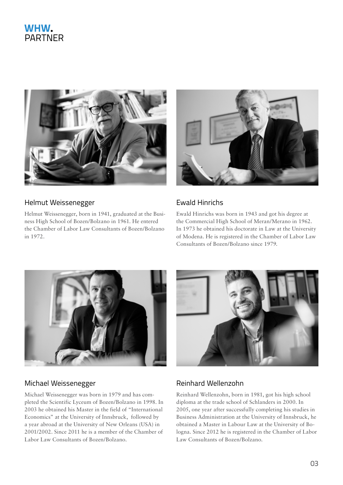

#### Helmut Weissenegger

Helmut Weissenegger, born in 1941, graduated at the Business High School of Bozen/Bolzano in 1961. He entered the Chamber of Labor Law Consultants of Bozen/Bolzano in 1972.



#### Ewald Hinrichs

Ewald Hinrichs was born in 1943 and got his degree at the Commercial High School of Meran/Merano in 1962. In 1973 he obtained his doctorate in Law at the University of Modena. He is registered in the Chamber of Labor Law Consultants of Bozen/Bolzano since 1979.



#### Michael Weissenegger **Reinhard Wellenzohn**

Michael Weissenegger was born in 1979 and has completed the Scientific Lyceum of Bozen/Bolzano in 1998. In 2003 he obtained his Master in the field of "International Economics" at the University of Innsbruck, followed by a year abroad at the University of New Orleans (USA) in 2001/2002. Since 2011 he is a member of the Chamber of Labor Law Consultants of Bozen/Bolzano.



Reinhard Wellenzohn, born in 1981, got his high school diploma at the trade school of Schlanders in 2000. In 2005, one year after successfully completing his studies in Business Administration at the University of Innsbruck, he obtained a Master in Labour Law at the University of Bologna. Since 2012 he is registered in the Chamber of Labor Law Consultants of Bozen/Bolzano.